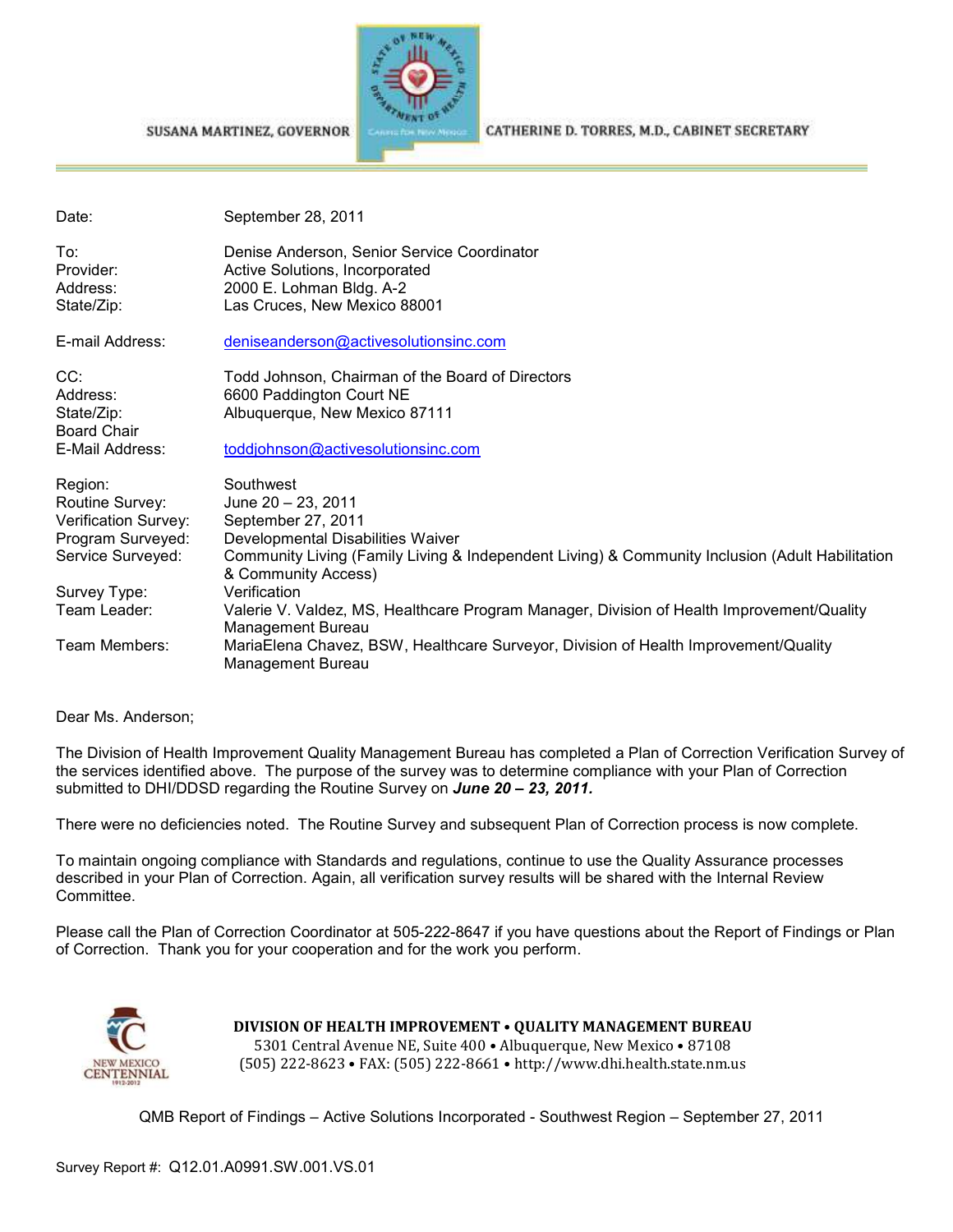## SUSANA MARTINEZ, GOVERNOR



CATHERINE D. TORRES, M.D., CABINET SECRETARY

| Date:                                                                                        | September 28, 2011                                                                                                                                                                                                   |
|----------------------------------------------------------------------------------------------|----------------------------------------------------------------------------------------------------------------------------------------------------------------------------------------------------------------------|
| To:<br>Provider:<br>Address:<br>State/Zip:                                                   | Denise Anderson, Senior Service Coordinator<br>Active Solutions, Incorporated<br>2000 E. Lohman Bldg. A-2<br>Las Cruces, New Mexico 88001                                                                            |
| E-mail Address:                                                                              | deniseanderson@activesolutionsinc.com                                                                                                                                                                                |
| CC:<br>Address:<br>State/Zip:<br><b>Board Chair</b><br>E-Mail Address:                       | Todd Johnson, Chairman of the Board of Directors<br>6600 Paddington Court NE<br>Albuquerque, New Mexico 87111<br>toddjohnson@activesolutionsinc.com                                                                  |
| Region:<br>Routine Survey:<br>Verification Survey:<br>Program Surveyed:<br>Service Surveyed: | Southwest<br>June 20 - 23, 2011<br>September 27, 2011<br>Developmental Disabilities Waiver<br>Community Living (Family Living & Independent Living) & Community Inclusion (Adult Habilitation<br>& Community Access) |
| Survey Type:<br>Team Leader:                                                                 | Verification<br>Valerie V. Valdez, MS, Healthcare Program Manager, Division of Health Improvement/Quality<br>Management Bureau                                                                                       |
| Team Members:                                                                                | MariaElena Chavez, BSW, Healthcare Surveyor, Division of Health Improvement/Quality<br>Management Bureau                                                                                                             |

Dear Ms. Anderson;

The Division of Health Improvement Quality Management Bureau has completed a Plan of Correction Verification Survey of the services identified above. The purpose of the survey was to determine compliance with your Plan of Correction submitted to DHI/DDSD regarding the Routine Survey on *June 20 – 23, 2011.*

There were no deficiencies noted. The Routine Survey and subsequent Plan of Correction process is now complete.

To maintain ongoing compliance with Standards and regulations, continue to use the Quality Assurance processes described in your Plan of Correction. Again, all verification survey results will be shared with the Internal Review Committee.

Please call the Plan of Correction Coordinator at 505-222-8647 if you have questions about the Report of Findings or Plan of Correction. Thank you for your cooperation and for the work you perform.



**DIVISION OF HEALTH IMPROVEMENT** • **QUALITY MANAGEMENT BUREAU** 5301 Central Avenue NE, Suite 400 • Albuquerque, New Mexico • 87108 (505) 222-8623 • FAX: (505) 222-8661 • http://www.dhi.health.state.nm.us

QMB Report of Findings – Active Solutions Incorporated - Southwest Region – September 27, 2011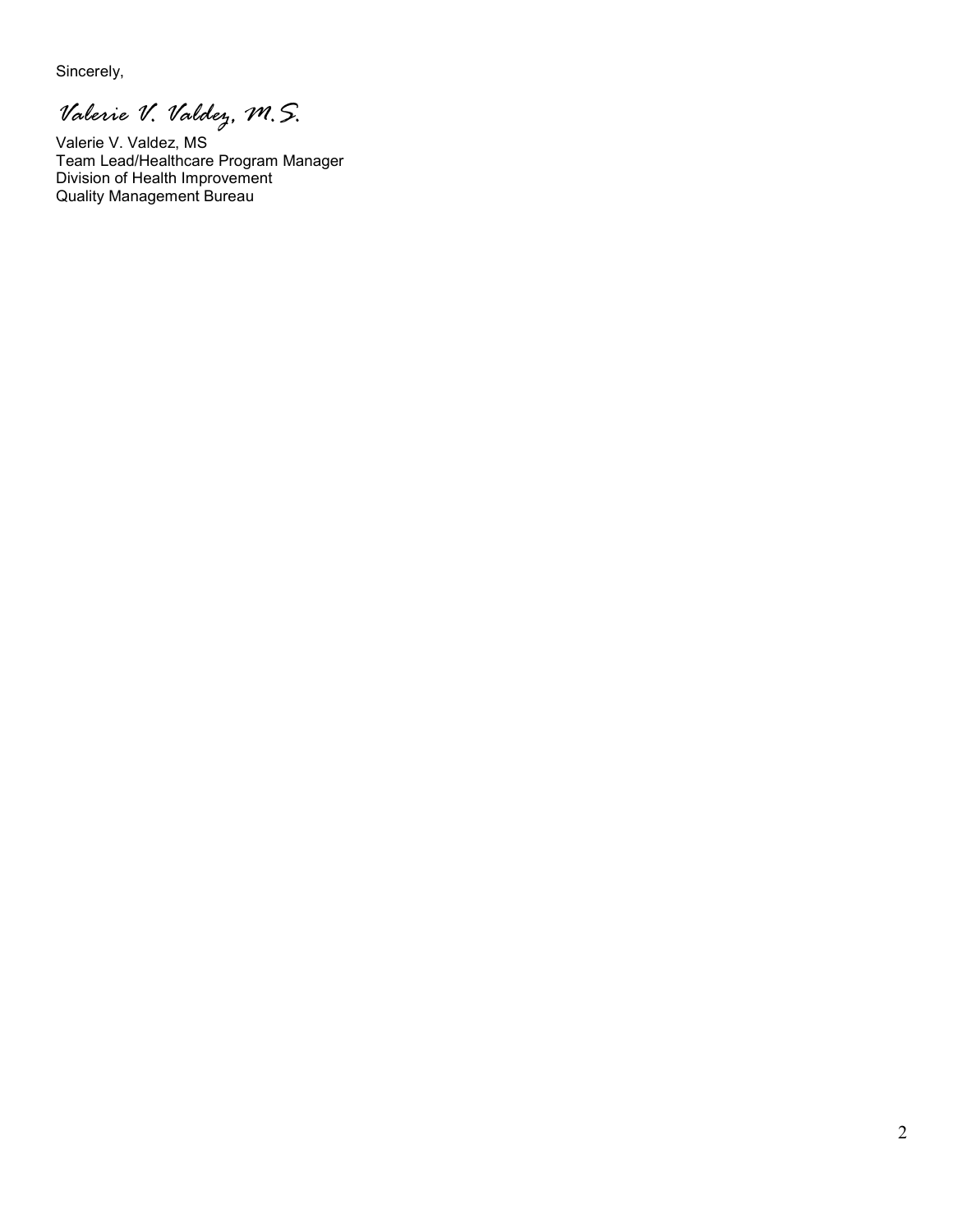Sincerely,

*Valerie V. Valdez, M.S.* 

Valerie V. Valdez, MS Team Lead/Healthcare Program Manager Division of Health Improvement Quality Management Bureau